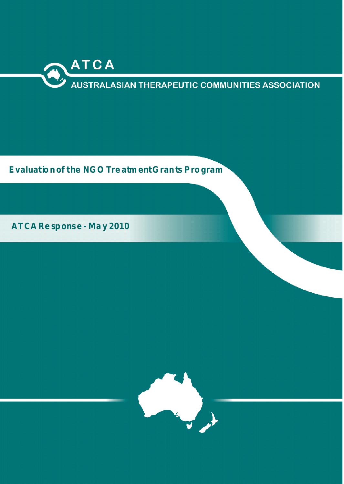

**Evaluation of the NGO Tre atm ent Gran ts Program** 

**ATCA Re sponse - Ma y 2010**

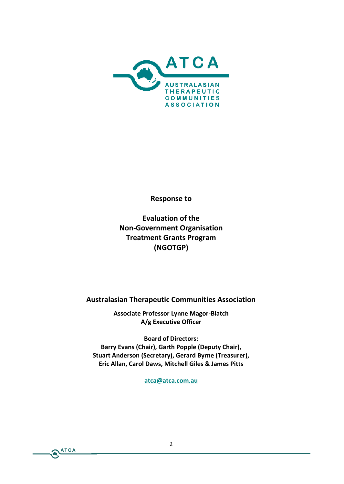Response

Evaluation of the NonGovernment Organisation Treatment Grants Program (NGOTGP)

Australasian Therapeutic Communities Assoc

Associate Professor-BLI gator Magor A/g Executive Officer

Board of Directors: Barry a Ens (Chair), Garth Popple (Deputy Chair), Stuart Anderson (Secretary), Gerard Byrne (Treasure Eric All&arol Daws, Mitchell Giles & James Pitts

[atca@atca.](mailto:atca@atca.com.au)com.au

 $\epsilon$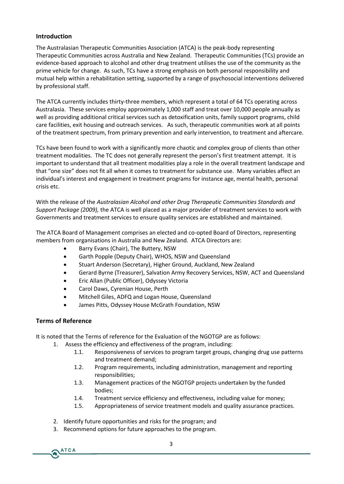## **Introduction**

The Australasian Therapeutic Communities Association (ATCA) is the peak-body representing Therapeutic Communities across Australia and New Zealand. Therapeutic Communities (TCs) provide an evidence-based approach to alcohol and other drug treatment utilises the use of the community as the prime vehicle for change. As such, TCs have a strong emphasis on both personal responsibility and mutual help within a rehabilitation setting, supported by a range of psychosocial interventions delivered by professional staff.

The ATCA currently includes thirty-three members, which represent a total of 64 TCs operating across Australasia. These services employ approximately 1,000 staff and treat over 10,000 people annually as well as providing additional critical services such as detoxification units, family support programs, child care facilities, exit housing and outreach services. As such, therapeutic communities work at all points of the treatment spectrum, from primary prevention and early intervention, to treatment and aftercare.

TCs have been found to work with a significantly more chaotic and complex group of clients than other treatment modalities. The TC does not generally represent the person's first treatment attempt. It is important to understand that all treatment modalities play a role in the overall treatment landscape and that "one size" does not fit all when it comes to treatment for substance use. Many variables affect an individual's interest and engagement in treatment programs for instance age, mental health, personal crisis etc.

With the release of the *Australasian Alcohol and other Drug Therapeutic Communities Standards and Support Package (2009),* the ATCA is well placed as a major provider of treatment services to work with Governments and treatment services to ensure quality services are established and maintained.

The ATCA Board of Management comprises an elected and co-opted Board of Directors, representing members from organisations in Australia and New Zealand. ATCA Directors are:

- Barry Evans (Chair), The Buttery, NSW
- Garth Popple (Deputy Chair), WHOS, NSW and Queensland
- Stuart Anderson (Secretary), Higher Ground, Auckland, New Zealand
- Gerard Byrne (Treasurer), Salvation Army Recovery Services, NSW, ACT and Queensland
- Eric Allan (Public Officer), Odyssey Victoria
- Carol Daws, Cyrenian House, Perth
- Mitchell Giles, ADFQ and Logan House, Queensland
- James Pitts, Odyssey House McGrath Foundation, NSW

## **Terms of Reference**

It is noted that the Terms of reference for the Evaluation of the NGOTGP are as follows:

- 1. Assess the efficiency and effectiveness of the program, including:
	- 1.1. Responsiveness of services to program target groups, changing drug use patterns and treatment demand;
	- 1.2. Program requirements, including administration, management and reporting responsibilities;
	- 1.3. Management practices of the NGOTGP projects undertaken by the funded bodies;
	- 1.4. Treatment service efficiency and effectiveness, including value for money;
	- 1.5. Appropriateness of service treatment models and quality assurance practices.
- 2. Identify future opportunities and risks for the program; and
- 3. Recommend options for future approaches to the program.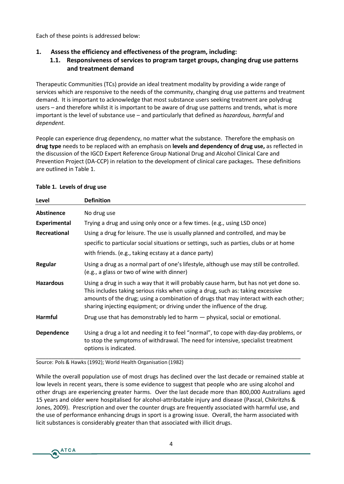Each of these points is addressed below:

# **1. Assess the efficiency and effectiveness of the program, including:**

# **1.1. Responsiveness of services to program target groups, changing drug use patterns and treatment demand**

Therapeutic Communities (TCs) provide an ideal treatment modality by providing a wide range of services which are responsive to the needs of the community, changing drug use patterns and treatment demand. It is important to acknowledge that most substance users seeking treatment are polydrug users – and therefore whilst it is important to be aware of drug use patterns and trends, what is more important is the level of substance use – and particularly that defined as *hazardous, harmful* and *dependent.*

People can experience drug dependency, no matter what the substance. Therefore the emphasis on **drug type** needs to be replaced with an emphasis on **levels and dependency of drug use,** as reflected in the discussion of the IGCD Expert Reference Group National Drug and Alcohol Clinical Care and Prevention Project (DA-CCP) in relation to the development of clinical care packages**.** These definitions are outlined in Table 1.

| Level               | <b>Definition</b>                                                                                                                                                                                                                                                                                                                            |
|---------------------|----------------------------------------------------------------------------------------------------------------------------------------------------------------------------------------------------------------------------------------------------------------------------------------------------------------------------------------------|
| <b>Abstinence</b>   | No drug use                                                                                                                                                                                                                                                                                                                                  |
| <b>Experimental</b> | Trying a drug and using only once or a few times. (e.g., using LSD once)                                                                                                                                                                                                                                                                     |
| Recreational        | Using a drug for leisure. The use is usually planned and controlled, and may be                                                                                                                                                                                                                                                              |
|                     | specific to particular social situations or settings, such as parties, clubs or at home                                                                                                                                                                                                                                                      |
|                     | with friends. (e.g., taking ecstasy at a dance party)                                                                                                                                                                                                                                                                                        |
| Regular             | Using a drug as a normal part of one's lifestyle, although use may still be controlled.<br>(e.g., a glass or two of wine with dinner)                                                                                                                                                                                                        |
| <b>Hazardous</b>    | Using a drug in such a way that it will probably cause harm, but has not yet done so.<br>This includes taking serious risks when using a drug, such as: taking excessive<br>amounts of the drug; using a combination of drugs that may interact with each other;<br>sharing injecting equipment; or driving under the influence of the drug. |
| <b>Harmful</b>      | Drug use that has demonstrably led to harm - physical, social or emotional.                                                                                                                                                                                                                                                                  |
| <b>Dependence</b>   | Using a drug a lot and needing it to feel "normal", to cope with day-day problems, or<br>to stop the symptoms of withdrawal. The need for intensive, specialist treatment<br>options is indicated.                                                                                                                                           |

### **Table 1. Levels of drug use**

Source: Pols & Hawks (1992); World Health Organisation (1982)

While the overall population use of most drugs has declined over the last decade or remained stable at low levels in recent years, there is some evidence to suggest that people who are using alcohol and other drugs are experiencing greater harms. Over the last decade more than 800,000 Australians aged 15 years and older were hospitalised for alcohol-attributable injury and disease (Pascal, Chikritzhs & Jones, 2009). Prescription and over the counter drugs are frequently associated with harmful use, and the use of performance enhancing drugs in sport is a growing issue. Overall, the harm associated with licit substances is considerably greater than that associated with illicit drugs.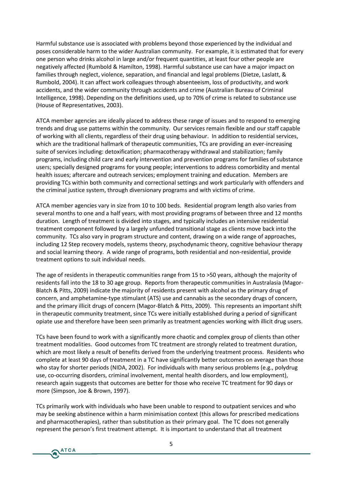Harmful substance use is associated with problems beyond those experienced by the individual and poses considerable harm to the wider Australian community. For example, it is estimated that for every one person who drinks alcohol in large and/or frequent quantities, at least four other people are negatively affected (Rumbold & Hamilton, 1998). Harmful substance use can have a major impact on families through neglect, violence, separation, and financial and legal problems (Dietze, Laslatt, & Rumbold, 2004). It can affect work colleagues through absenteeism, loss of productivity, and work accidents, and the wider community through accidents and crime (Australian Bureau of Criminal Intelligence, 1998). Depending on the definitions used, up to 70% of crime is related to substance use (House of Representatives, 2003).

ATCA member agencies are ideally placed to address these range of issues and to respond to emerging trends and drug use patterns within the community. Our services remain flexible and our staff capable of working with all clients, regardless of their drug using behaviour. In addition to residential services, which are the traditional hallmark of therapeutic communities, TCs are providing an ever-increasing suite of services including: detoxification; pharmacotherapy withdrawal and stabilization; family programs, including child care and early intervention and prevention programs for families of substance users; specially designed programs for young people; interventions to address comorbidity and mental health issues; aftercare and outreach services; employment training and education. Members are providing TCs within both community and correctional settings and work particularly with offenders and the criminal justice system, through diversionary programs and with victims of crime.

ATCA member agencies vary in size from 10 to 100 beds. Residential program length also varies from several months to one and a half years, with most providing programs of between three and 12 months duration. Length of treatment is divided into stages, and typically includes an intensive residential treatment component followed by a largely unfunded transitional stage as clients move back into the community. TCs also vary in program structure and content, drawing on a wide range of approaches, including 12 Step recovery models, systems theory, psychodynamic theory, cognitive behaviour therapy and social learning theory. A wide range of programs, both residential and non-residential, provide treatment options to suit individual needs.

The age of residents in therapeutic communities range from 15 to >50 years, although the majority of residents fall into the 18 to 30 age group. Reports from therapeutic communities in Australasia (Magor-Blatch & Pitts, 2009) indicate the majority of residents present with alcohol as the primary drug of concern, and amphetamine-type stimulant (ATS) use and cannabis as the secondary drugs of concern, and the primary illicit drugs of concern (Magor-Blatch & Pitts, 2009). This represents an important shift in therapeutic community treatment, since TCs were initially established during a period of significant opiate use and therefore have been seen primarily as treatment agencies working with illicit drug users.

TCs have been found to work with a significantly more chaotic and complex group of clients than other treatment modalities. Good outcomes from TC treatment are strongly related to treatment duration, which are most likely a result of benefits derived from the underlying treatment process. Residents who complete at least 90 days of treatment in a TC have significantly better outcomes on average than those who stay for shorter periods (NIDA, 2002). For individuals with many serious problems (e.g., polydrug use, co-occurring disorders, criminal involvement, mental health disorders, and low employment), research again suggests that outcomes are better for those who receive TC treatment for 90 days or more (Simpson, Joe & Brown, 1997).

TCs primarily work with individuals who have been unable to respond to outpatient services and who may be seeking abstinence within a harm minimisation context (this allows for prescribed medications and pharmacotherapies), rather than substitution as their primary goal. The TC does not generally represent the person's first treatment attempt. It is important to understand that all treatment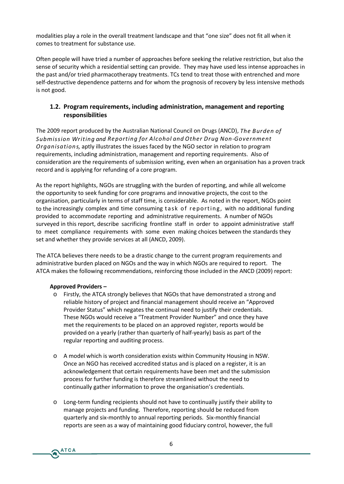modalities play a role in the overall treatment landscape and that "one size" does not fit all when it comes to treatment for substance use.

Often people will have tried a number of approaches before seeking the relative restriction, but also the sense of security which a residential setting can provide. They may have used less intense approaches in the past and/or tried pharmacotherapy treatments. TCs tend to treat those with entrenched and more self-destructive dependence patterns and for whom the prognosis of recovery by less intensive methods is not good.

# **1.2. Program requirements, including administration, management and reporting responsibilities**

The 2009 report produced by the Australian National Council on Drugs (ANCD), *The Burden of Submission Writing and Reporting for Alcohol and Other Drug Non-Government Organisations,* aptly illustrates the issues faced by the NGO sector in relation to program requirements, including administration, management and reporting requirements. Also of consideration are the requirements of submission writing, even when an organisation has a proven track record and is applying for refunding of a core program.

As the report highlights, NGOs are struggling with the burden of reporting, and while all welcome the opportunity to seek funding for core programs and innovative projects, the cost to the organisation, particularly in terms of staff time, is considerable. As noted in the report, NGOs point to the increasingly complex and time consuming task of reporting, with no additional funding provided to accommodate reporting and administrative requirements. A number of NGOs surveyed in this report, describe sacrificing frontline staff in order to appoint administrative staff to meet compliance requirements with some even making choices between the standards they set and whether they provide services at all (ANCD, 2009).

The ATCA believes there needs to be a drastic change to the current program requirements and administrative burden placed on NGOs and the way in which NGOs are required to report. The ATCA makes the following recommendations, reinforcing those included in the ANCD (2009) report:

## **Approved Providers –**

- o Firstly, the ATCA strongly believes that NGOs that have demonstrated a strong and reliable history of project and financial management should receive an "Approved Provider Status" which negates the continual need to justify their credentials. These NGOs would receive a "Treatment Provider Number" and once they have met the requirements to be placed on an approved register, reports would be provided on a yearly (rather than quarterly of half-yearly) basis as part of the regular reporting and auditing process.
- o A model which is worth consideration exists within Community Housing in NSW. Once an NGO has received accredited status and is placed on a register, it is an acknowledgement that certain requirements have been met and the submission process for further funding is therefore streamlined without the need to continually gather information to prove the organisation's credentials.
- o Long-term funding recipients should not have to continually justify their ability to manage projects and funding. Therefore, reporting should be reduced from quarterly and six-monthly to annual reporting periods. Six-monthly financial reports are seen as a way of maintaining good fiduciary control, however, the full

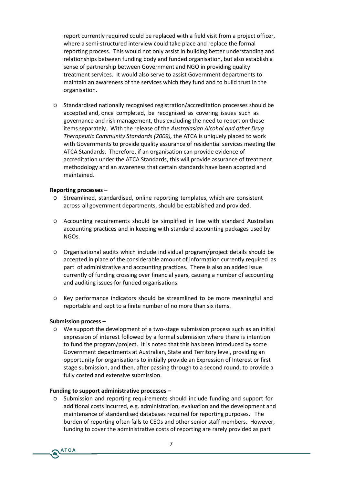report currently required could be replaced with a field visit from a project officer, where a semi-structured interview could take place and replace the formal reporting process. This would not only assist in building better understanding and relationships between funding body and funded organisation, but also establish a sense of partnership between Government and NGO in providing quality treatment services. It would also serve to assist Government departments to maintain an awareness of the services which they fund and to build trust in the organisation.

o Standardised nationally recognised registration/accreditation processes should be accepted and, once completed, be recognised as covering issues such as governance and risk management, thus excluding the need to report on these items separately. With the release of the *Australasian Alcohol and other Drug Therapeutic Community Standards (2009),* the ATCA is uniquely placed to work with Governments to provide quality assurance of residential services meeting the ATCA Standards. Therefore, if an organisation can provide evidence of accreditation under the ATCA Standards, this will provide assurance of treatment methodology and an awareness that certain standards have been adopted and maintained.

### **Reporting processes –**

- o Streamlined, standardised, online reporting templates, which are consistent across all government departments, should be established and provided.
- o Accounting requirements should be simplified in line with standard Australian accounting practices and in keeping with standard accounting packages used by NGOs.
- o Organisational audits which include individual program/project details should be accepted in place of the considerable amount of information currently required as part of administrative and accounting practices. There is also an added issue currently of funding crossing over financial years, causing a number of accounting and auditing issues for funded organisations.
- Key performance indicators should be streamlined to be more meaningful and reportable and kept to a finite number of no more than six items.

### **Submission process –**

o We support the development of a two-stage submission process such as an initial expression of interest followed by a formal submission where there is intention to fund the program/project. It is noted that this has been introduced by some Government departments at Australian, State and Territory level, providing an opportunity for organisations to initially provide an Expression of Interest or first stage submission, and then, after passing through to a second round, to provide a fully costed and extensive submission.

#### **Funding to support administrative processes –**

o Submission and reporting requirements should include funding and support for additional costs incurred, e.g. administration, evaluation and the development and maintenance of standardised databases required for reporting purposes. The burden of reporting often falls to CEOs and other senior staff members. However, funding to cover the administrative costs of reporting are rarely provided as part

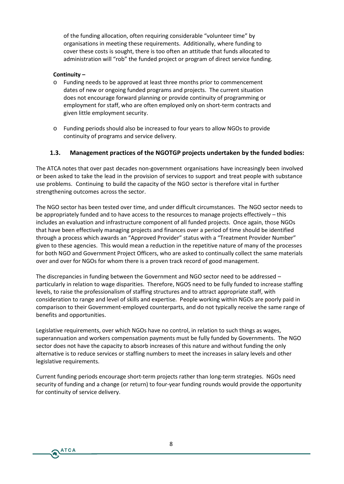of the funding allocation, often requiring considerable "volunteer time" by organisations in meeting these requirements. Additionally, where funding to cover these costs is sought, there is too often an attitude that funds allocated to administration will "rob" the funded project or program of direct service funding.

## **Continuity –**

**ATCA** 

- o Funding needs to be approved at least three months prior to commencement dates of new or ongoing funded programs and projects. The current situation does not encourage forward planning or provide continuity of programming or employment for staff, who are often employed only on short-term contracts and given little employment security.
- o Funding periods should also be increased to four years to allow NGOs to provide continuity of programs and service delivery.

# **1.3. Management practices of the NGOTGP projects undertaken by the funded bodies:**

The ATCA notes that over past decades non-government organisations have increasingly been involved or been asked to take the lead in the provision of services to support and treat people with substance use problems. Continuing to build the capacity of the NGO sector is therefore vital in further strengthening outcomes across the sector.

The NGO sector has been tested over time, and under difficult circumstances. The NGO sector needs to be appropriately funded and to have access to the resources to manage projects effectively – this includes an evaluation and infrastructure component of all funded projects. Once again, those NGOs that have been effectively managing projects and finances over a period of time should be identified through a process which awards an "Approved Provider" status with a "Treatment Provider Number" given to these agencies. This would mean a reduction in the repetitive nature of many of the processes for both NGO and Government Project Officers, who are asked to continually collect the same materials over and over for NGOs for whom there is a proven track record of good management.

The discrepancies in funding between the Government and NGO sector need to be addressed – particularly in relation to wage disparities. Therefore, NGOS need to be fully funded to increase staffing levels, to raise the professionalism of staffing structures and to attract appropriate staff, with consideration to range and level of skills and expertise. People working within NGOs are poorly paid in comparison to their Government-employed counterparts, and do not typically receive the same range of benefits and opportunities.

Legislative requirements, over which NGOs have no control, in relation to such things as wages, superannuation and workers compensation payments must be fully funded by Governments. The NGO sector does not have the capacity to absorb increases of this nature and without funding the only alternative is to reduce services or staffing numbers to meet the increases in salary levels and other legislative requirements.

Current funding periods encourage short-term projects rather than long-term strategies. NGOs need security of funding and a change (or return) to four-year funding rounds would provide the opportunity for continuity of service delivery.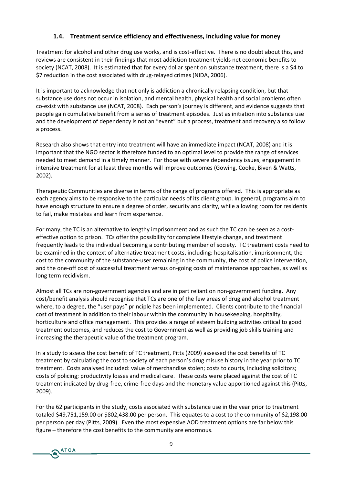# **1.4. Treatment service efficiency and effectiveness, including value for money**

Treatment for alcohol and other drug use works, and is cost-effective. There is no doubt about this, and reviews are consistent in their findings that most addiction treatment yields net economic benefits to society (NCAT, 2008). It is estimated that for every dollar spent on substance treatment, there is a \$4 to \$7 reduction in the cost associated with drug-relayed crimes (NIDA, 2006).

It is important to acknowledge that not only is addiction a chronically relapsing condition, but that substance use does not occur in isolation, and mental health, physical health and social problems often co-exist with substance use (NCAT, 2008). Each person's journey is different, and evidence suggests that people gain cumulative benefit from a series of treatment episodes. Just as initiation into substance use and the development of dependency is not an "event" but a process, treatment and recovery also follow a process.

Research also shows that entry into treatment will have an immediate impact (NCAT, 2008) and it is important that the NGO sector is therefore funded to an optimal level to provide the range of services needed to meet demand in a timely manner. For those with severe dependency issues, engagement in intensive treatment for at least three months will improve outcomes (Gowing, Cooke, Biven & Watts, 2002).

Therapeutic Communities are diverse in terms of the range of programs offered. This is appropriate as each agency aims to be responsive to the particular needs of its client group. In general, programs aim to have enough structure to ensure a degree of order, security and clarity, while allowing room for residents to fail, make mistakes and learn from experience.

For many, the TC is an alternative to lengthy imprisonment and as such the TC can be seen as a costeffective option to prison. TCs offer the possibility for complete lifestyle change, and treatment frequently leads to the individual becoming a contributing member of society. TC treatment costs need to be examined in the context of alternative treatment costs, including: hospitalisation, imprisonment, the cost to the community of the substance-user remaining in the community, the cost of police intervention, and the one-off cost of successful treatment versus on-going costs of maintenance approaches, as well as long term recidivism.

Almost all TCs are non-government agencies and are in part reliant on non-government funding. Any cost/benefit analysis should recognise that TCs are one of the few areas of drug and alcohol treatment where, to a degree, the "user pays" principle has been implemented. Clients contribute to the financial cost of treatment in addition to their labour within the community in housekeeping, hospitality, horticulture and office management. This provides a range of esteem building activities critical to good treatment outcomes, and reduces the cost to Government as well as providing job skills training and increasing the therapeutic value of the treatment program.

In a study to assess the cost benefit of TC treatment, Pitts (2009) assessed the cost benefits of TC treatment by calculating the cost to society of each person's drug misuse history in the year prior to TC treatment. Costs analysed included: value of merchandise stolen; costs to courts, including solicitors; costs of policing; productivity losses and medical care. These costs were placed against the cost of TC treatment indicated by drug-free, crime-free days and the monetary value apportioned against this (Pitts, 2009).

For the 62 participants in the study, costs associated with substance use in the year prior to treatment totaled \$49,751,159.00 or \$802,438.00 per person. This equates to a cost to the community of \$2,198.00 per person per day (Pitts, 2009). Even the most expensive AOD treatment options are far below this figure – therefore the cost benefits to the community are enormous.

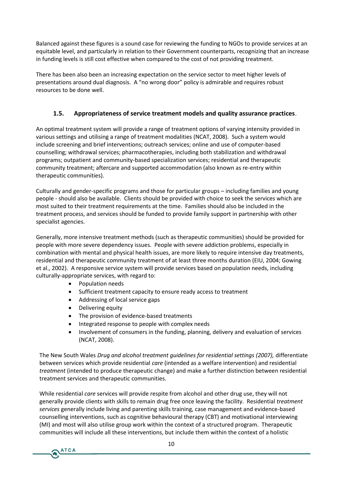Balanced against these figures is a sound case for reviewing the funding to NGOs to provide services at an equitable level, and particularly in relation to their Government counterparts, recognizing that an increase in funding levels is still cost effective when compared to the cost of not providing treatment.

There has been also been an increasing expectation on the service sector to meet higher levels of presentations around dual diagnosis. A "no wrong door" policy is admirable and requires robust resources to be done well.

# **1.5. Appropriateness of service treatment models and quality assurance practices**.

An optimal treatment system will provide a range of treatment options of varying intensity provided in various settings and utilising a range of treatment modalities (NCAT, 2008). Such a system would include screening and brief interventions; outreach services; online and use of computer-based counselling; withdrawal services; pharmacotherapies, including both stabilization and withdrawal programs; outpatient and community-based specialization services; residential and therapeutic community treatment; aftercare and supported accommodation (also known as re-entry within therapeutic communities).

Culturally and gender-specific programs and those for particular groups – including families and young people - should also be available. Clients should be provided with choice to seek the services which are most suited to their treatment requirements at the time. Families should also be included in the treatment process, and services should be funded to provide family support in partnership with other specialist agencies.

Generally, more intensive treatment methods (such as therapeutic communities) should be provided for people with more severe dependency issues. People with severe addiction problems, especially in combination with mental and physical health issues, are more likely to require intensive day treatments, residential and therapeutic community treatment of at least three months duration (EIU, 2004; Gowing et al., 2002). A responsive service system will provide services based on population needs, including culturally-appropriate services, with regard to:

- Population needs
- Sufficient treatment capacity to ensure ready access to treatment
- Addressing of local service gaps
- Delivering equity
- The provision of evidence-based treatments
- Integrated response to people with complex needs
- Involvement of consumers in the funding, planning, delivery and evaluation of services (NCAT, 2008).

The New South Wales *Drug and alcohol treatment guidelines for residential settings (2007),* differentiate between services which provide residential *care* (intended as a welfare intervention) and residential *treatment* (intended to produce therapeutic change) and make a further distinction between residential treatment services and therapeutic communities.

While residential *care* services will provide respite from alcohol and other drug use, they will not generally provide clients with skills to remain drug free once leaving the facility. Residential *treatment services* generally include living and parenting skills training, case management and evidence-based counselling interventions, such as cognitive behavioural therapy (CBT) and motivational interviewing (MI) and most will also utilise group work within the context of a structured program. Therapeutic communities will include all these interventions, but include them within the context of a holistic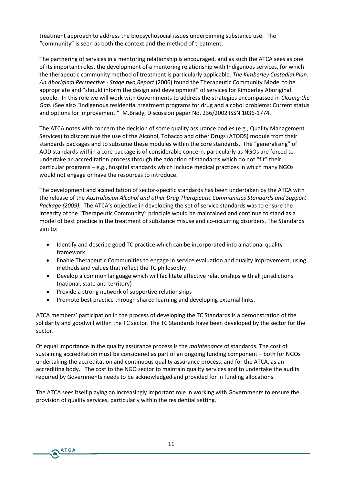treatment approach to address the biopsychosocial issues underpinning substance use. The "community" is seen as both the context and the method of treatment.

The partnering of services in a mentoring relationship is encouraged, and as such the ATCA sees as one of its important roles, the development of a mentoring relationship with Indigenous services, for which the therapeutic community method of treatment is particularly applicable. *The Kimberley Custodial Plan: An Aboriginal Perspective - Stage two Report* (2006) found the Therapeutic Community Model to be appropriate and "should inform the design and development" of services for Kimberley Aboriginal people. In this role we will work with Governments to address the strategies encompassed in *Closing the Gap*. (See also "Indigenous residential treatment programs for drug and alcohol problems: Current status and options for improvement." M.Brady, Discussion paper No. 236/2002 ISSN 1036-1774.

The ATCA notes with concern the decision of some quality assurance bodies (e.g., Quality Management Services) to discontinue the use of the Alcohol, Tobacco and other Drugs (ATODS) module from their standards packages and to subsume these modules within the core standards. The "generalising" of AOD standards within a core package is of considerable concern, particularly as NGOs are forced to undertake an accreditation process through the adoption of standards which do not "fit" their particular programs – e.g., hospital standards which include medical practices in which many NGOs would not engage or have the resources to introduce.

The development and accreditation of sector-specific standards has been undertaken by the ATCA with the release of the *Australasian Alcohol and other Drug Therapeutic Communities Standards and Support Package (2009).* The ATCA's objective in developing the set of service standards was to ensure the integrity of the "Therapeutic Community" principle would be maintained and continue to stand as a model of best practice in the treatment of substance misuse and co-occurring disorders. The Standards aim to:

- Identify and describe good TC practice which can be incorporated into a national quality framework
- Enable Therapeutic Communities to engage in service evaluation and quality improvement, using methods and values that reflect the TC philosophy
- Develop a common language which will facilitate effective relationships with all jurisdictions (national, state and territory)
- Provide a strong network of supportive relationships

**ATCA** 

Promote best practice through shared learning and developing external links.

ATCA members' participation in the process of developing the TC Standards is a demonstration of the solidarity and goodwill within the TC sector. The TC Standards have been developed by the sector for the sector.

Of equal importance in the quality assurance process is the *maintenance* of standards. The cost of sustaining accreditation must be considered as part of an ongoing funding component – both for NGOs undertaking the accreditation and continuous quality assurance process, and for the ATCA, as an accrediting body. The cost to the NGO sector to maintain quality services and to undertake the audits required by Governments needs to be acknowledged and provided for in funding allocations.

The ATCA sees itself playing an increasingly important role in working with Governments to ensure the provision of quality services, particularly within the residential setting.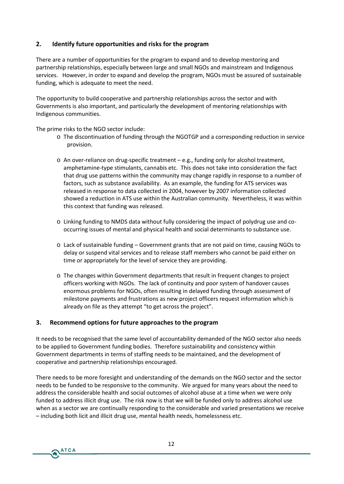# **2. Identify future opportunities and risks for the program**

There are a number of opportunities for the program to expand and to develop mentoring and partnership relationships, especially between large and small NGOs and mainstream and Indigenous services. However, in order to expand and develop the program, NGOs must be assured of sustainable funding, which is adequate to meet the need.

The opportunity to build cooperative and partnership relationships across the sector and with Governments is also important, and particularly the development of mentoring relationships with Indigenous communities.

The prime risks to the NGO sector include:

- o The discontinuation of funding through the NGOTGP and a corresponding reduction in service provision.
- o An over-reliance on drug-specific treatment e.g., funding only for alcohol treatment, amphetamine-type stimulants, cannabis etc. This does not take into consideration the fact that drug use patterns within the community may change rapidly in response to a number of factors, such as substance availability. As an example, the funding for ATS services was released in response to data collected in 2004, however by 2007 information collected showed a reduction in ATS use within the Australian community. Nevertheless, it was within this context that funding was released.
- o Linking funding to NMDS data without fully considering the impact of polydrug use and cooccurring issues of mental and physical health and social determinants to substance use.
- o Lack of sustainable funding Government grants that are not paid on time, causing NGOs to delay or suspend vital services and to release staff members who cannot be paid either on time or appropriately for the level of service they are providing.
- o The changes within Government departments that result in frequent changes to project officers working with NGOs. The lack of continuity and poor system of handover causes enormous problems for NGOs, often resulting in delayed funding through assessment of milestone payments and frustrations as new project officers request information which is already on file as they attempt "to get across the project".

## **3. Recommend options for future approaches to the program**

**ATCA** 

It needs to be recognised that the same level of accountability demanded of the NGO sector also needs to be applied to Government funding bodies. Therefore sustainability and consistency within Government departments in terms of staffing needs to be maintained, and the development of cooperative and partnership relationships encouraged.

There needs to be more foresight and understanding of the demands on the NGO sector and the sector needs to be funded to be responsive to the community. We argued for many years about the need to address the considerable health and social outcomes of alcohol abuse at a time when we were only funded to address illicit drug use. The risk now is that we will be funded only to address alcohol use when as a sector we are continually responding to the considerable and varied presentations we receive – including both licit and illicit drug use, mental health needs, homelessness etc.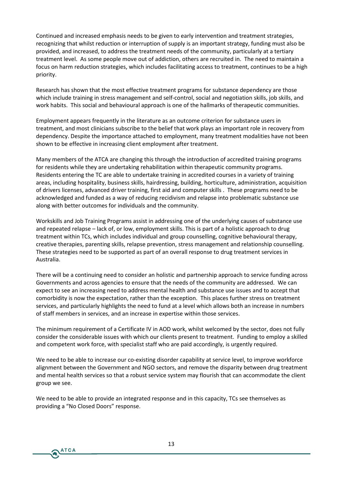Continued and increased emphasis needs to be given to early intervention and treatment strategies, recognizing that whilst reduction or interruption of supply is an important strategy, funding must also be provided, and increased, to address the treatment needs of the community, particularly at a tertiary treatment level. As some people move out of addiction, others are recruited in. The need to maintain a focus on harm reduction strategies, which includes facilitating access to treatment, continues to be a high priority.

Research has shown that the most effective treatment programs for substance dependency are those which include training in stress management and self-control, social and negotiation skills, job skills, and work habits. This social and behavioural approach is one of the hallmarks of therapeutic communities.

Employment appears frequently in the literature as an outcome criterion for substance users in treatment, and most clinicians subscribe to the belief that work plays an important role in recovery from dependency. Despite the importance attached to employment, many treatment modalities have not been shown to be effective in increasing client employment after treatment.

Many members of the ATCA are changing this through the introduction of accredited training programs for residents while they are undertaking rehabilitation within therapeutic community programs. Residents entering the TC are able to undertake training in accredited courses in a variety of training areas, including hospitality, business skills, hairdressing, building, horticulture, administration, acquisition of drivers licenses, advanced driver training, first aid and computer skills . These programs need to be acknowledged and funded as a way of reducing recidivism and relapse into problematic substance use along with better outcomes for individuals and the community.

Workskills and Job Training Programs assist in addressing one of the underlying causes of substance use and repeated relapse – lack of, or low, employment skills. This is part of a holistic approach to drug treatment within TCs, which includes individual and group counselling, cognitive behavioural therapy, creative therapies, parenting skills, relapse prevention, stress management and relationship counselling. These strategies need to be supported as part of an overall response to drug treatment services in Australia.

There will be a continuing need to consider an holistic and partnership approach to service funding across Governments and across agencies to ensure that the needs of the community are addressed. We can expect to see an increasing need to address mental health and substance use issues and to accept that comorbidity is now the expectation, rather than the exception. This places further stress on treatment services, and particularly highlights the need to fund at a level which allows both an increase in numbers of staff members in services, and an increase in expertise within those services.

The minimum requirement of a Certificate IV in AOD work, whilst welcomed by the sector, does not fully consider the considerable issues with which our clients present to treatment. Funding to employ a skilled and competent work force, with specialist staff who are paid accordingly, is urgently required.

We need to be able to increase our co-existing disorder capability at service level, to improve workforce alignment between the Government and NGO sectors, and remove the disparity between drug treatment and mental health services so that a robust service system may flourish that can accommodate the client group we see.

We need to be able to provide an integrated response and in this capacity, TCs see themselves as providing a "No Closed Doors" response.

**ATCA**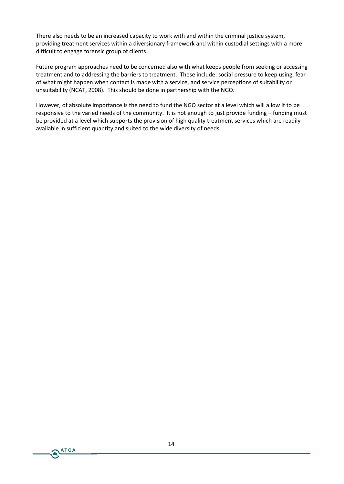There also needs to be an increased capacity to work with and within the criminal justice system, providing treatment services within a diversionary framework and within custodial settings with a more difficult to engage forensic group of clients.

Future program approaches need to be concerned also with what keeps people from seeking or accessing treatment and to addressing the barriers to treatment. These include: social pressure to keep using, fear of what might happen when contact is made with a service, and service perceptions of suitability or unsuitability (NCAT, 2008). This should be done in partnership with the NGO.

However, of absolute importance is the need to fund the NGO sector at a level which will allow it to be responsive to the varied needs of the community. It is not enough to just provide funding – funding must be provided at a level which supports the provision of high quality treatment services which are readily available in sufficient quantity and suited to the wide diversity of needs.

ATCA

 $\blacktriangleleft$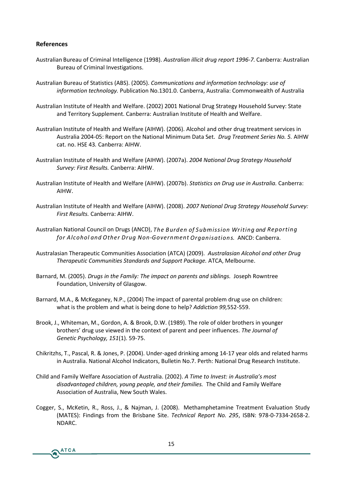### **References**

- Australian Bureau of Criminal Intelligence (1998). *Australian illicit drug report 1996-7.* Canberra: Australian Bureau of Criminal Investigations.
- Australian Bureau of Statistics (ABS). (2005). *Communications and information technology: use of information technology.* Publication No.1301.0. Canberra, Australia: Commonwealth of Australia
- Australian Institute of Health and Welfare. (2002) 2001 National Drug Strategy Household Survey: State and Territory Supplement. Canberra: Australian Institute of Health and Welfare.
- Australian Institute of Health and Welfare (AIHW). (2006). Alcohol and other drug treatment services in Australia 2004-05: Report on the National Minimum Data Set. *Drug Treatment Series No. 5.* AIHW cat. no. HSE 43*.* Canberra: AIHW.
- Australian Institute of Health and Welfare (AIHW). (2007a). *2004 National Drug Strategy Household Survey: First Results.* Canberra: AIHW.
- Australian Institute of Health and Welfare (AIHW). (2007b). *Statistics on Drug use in Australia.* Canberra: AIHW.
- Australian Institute of Health and Welfare (AIHW). (2008). *2007 National Drug Strategy Household Survey: First Results.* Canberra: AIHW.
- Australian National Council on Drugs (ANCD), *The Burden of Submission Writing and Reporting for Alcohol and Other Drug Non-Government Organisations.* ANCD: Canberra.
- Australasian Therapeutic Communities Association (ATCA) (2009). *Australasian Alcohol and other Drug Therapeutic Communities Standards and Support Package.* ATCA, Melbourne.
- Barnard, M. (2005). *Drugs in the Family: The impact on parents and siblings.* Joseph Rowntree Foundation, University of Glasgow.
- Barnard, M.A., & McKeganey, N.P., (2004) The impact of parental problem drug use on children: what is the problem and what is being done to help? *Addiction 99,*552-559.
- Brook, J., Whiteman, M., Gordon, A. & Brook, D.W. (1989). The role of older brothers in younger brothers' drug use viewed in the context of parent and peer influences. *The Journal of Genetic Psychology, 151*(1). 59-75.
- Chikritzhs, T., Pascal, R. & Jones, P. (2004). Under-aged drinking among 14-17 year olds and related harms in Australia. National Alcohol Indicators, Bulletin No.7. Perth: National Drug Research Institute.
- Child and Family Welfare Association of Australia. (2002). *A Time to Invest: in Australia's most disadvantaged children, young people, and their families.* The Child and Family Welfare Association of Australia, New South Wales.
- Cogger, S., McKetin, R., Ross, J., & Najman, J. (2008). Methamphetamine Treatment Evaluation Study (MATES): Findings from the Brisbane Site. *Technical Report No. 295*, ISBN: 978-0-7334-2658-2. NDARC.

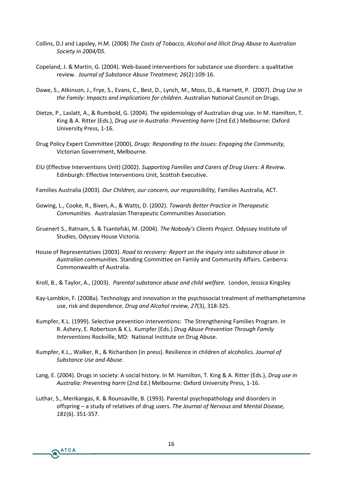- Collins, D.J and Lapsley, H.M. (2008) *The Costs of Tobacco, Alcohol and Illicit Drug Abuse to Australian Society in 2004/05.*
- Copeland, J. & Martin, G. (2004). Web-based interventions for substance use disorders: a qualitative review. *Journal of Substance Abuse Treatment; 26*(2):109-16.
- Dawe, S., Atkinson, J., Frye, S., Evans, C., Best, D., Lynch, M., Moss, D., & Harnett, P. (2007). *Drug Use in the Family: Impacts and implications for children.* Australian National Council on Drugs.
- Dietze, P., Laslatt, A., & Rumbold, G. (2004). The epidemiology of Australian drug use. In M. Hamilton, T. King & A. Ritter (Eds.), *Drug use in Australia: Preventing harm* (2nd Ed.) Melbourne: Oxford University Press, 1-16.
- Drug Policy Expert Committee (2000), *Drugs: Responding to the Issues: Engaging the Community,* Victorian Government, Melbourne.
- EIU (Effective Interventions Unit) (2002). *Supporting Families and Carers of Drug Users: A Review.* Edinburgh: Effective Interventions Unit, Scottish Executive.
- Families Australia (2003). *Our Children, our concern, our responsibility,* Families Australia, ACT.
- Gowing, L., Cooke, R., Biven, A., & Watts, D. (2002). *Towards Better Practice in Therapeutic Communities.* Australasian Therapeutic Communities Association*.*
- Gruenert S., Ratnam, S. & Tsantefski, M. (2004). *The Nobody's Clients Project.* Odyssey Institute of Studies, Odyssey House Victoria.
- House of Representatives (2003). *Road to recovery: Report on the inquiry into substance abuse in Australian communities.* Standing Committee on Family and Community Affairs. Canberra: Commonwealth of Australia.
- Kroll, B., & Taylor, A., (2003). *Parental substance abuse and child welfare.* London, Jessica Kingsley
- Kay-Lambkin, F. (2008a). Technology and innovation in the psychosocial treatment of methamphetamine use, risk and dependence. *Drug and Alcohol review, 27*(3), 318-325.
- Kumpfer, K.L. (1999). Selective prevention interventions: The Strengthening Families Program. In R. Ashery, E. Robertson & K.L. Kumpfer (Eds.) *Drug Abuse Prevention Through Family Interventions* Rockville, MD: National Institute on Drug Abuse.
- Kumpfer, K.L., Walker, R., & Richardson (in press). Resilience in children of alcoholics. *Journal of Substance Use and Abuse*.
- Lang, E. (2004). Drugs in society: A social history. In M. Hamilton, T. King & A. Ritter (Eds.), *Drug use in Australia: Preventing harm* (2nd Ed.) Melbourne: Oxford University Press, 1-16.
- Luthar, S., Merikangas, K. & Rounsaville, B. (1993). Parental psychopathology and disorders in offspring – a study of relatives of drug users. *The Journal of Nervous and Mental Disease, 181*(6). 351-357.

**ATCA** 

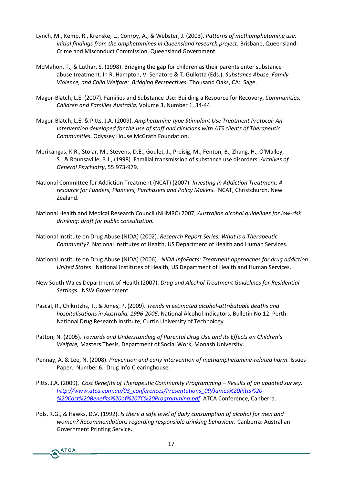- Lynch, M., Kemp, R., Kr $A$ ens & eWebst Ceorphabyt (e 200330f methamphetamine initial findings from the amphetamines inB**Qiseans**la**Qderesselanrcd**: Crime and Misconduct Commission, Queensland Government.
- McMahon, T., & Luthar, S. (1949)9180). Bhrikblgrien gabetheir parents enter su abuse treatment. In R. Hampton, V. SSabsdanc& TAbGsuel, oFtaam (iEyd: Violence, and ChBolrd dWy jeniqfare. Bridgeting and O Stakone. CA:
- MagoBrlatch, L.E. (2008 nd). SFuabmsitlaines a Use: Building a CRoemsonuum cinéosr, Requ Children and Fami Mesu Anues 8r, a Number 1, 34
- MagoBrlatch, L.E. & Pitt<sup>o</sup>sm puh Ata (to 2010). But imulant Use Treatment Protocol: Analysis of Analysis and An Intervention develospee of fistath feand clinicians with ATS clients of CommunQdeyss.sey House McGrath Foundation.
- Merikangas, K.R., Stolar, M., Stevens, D.E., Goulet, J., Preisig, M. S., & Rounsaville, B.J., n  $m\$ fr $\theta$ i $\Re$ s of Familia utal stance rabieved ssofders.  $G$ eneral Ps,y  $65$ i: $2279$ .
- National Committee for Addiction Threyexetsmining (NGARdTo) c(t2:0007T) reatment: resource for Funders, Planners, Pur**N Ca**STer Chamibit Photivey Makers. Zealand.
- National Health and Medical Resear**AhusCroulnian and NHMRIC**gun2idbook77ines fo drinking: draft for public consultation.
- National Institute on Drug ARbeusseea (NIMIDRAe) p (o 200 $\infty$ e) ries: Wolhat is a Thera CommunNtay Monal Institutes of Health, US Department of Health
- National Institute on Drug AN LGA (NiiDFAa) c (2006) eatment approaches f United SiNateisonal Institutes of Heabtfh, HeJaSIt Daeapracth huemman Service
- New South Wales Departmen $D$ rog HaealtAhlq $\alpha$ hol $7$  Treatment Guidelines f Settin NSW Government.
- P acal, R., Chikritzh  $\overline{s}$ , & Jones,  $(2,009)$ . Then disme tsim at ed a to thol-atributable death sand hos pit alisations in Asturbia, 199480 05. National Allochol Indicators, Bulletin No. 12Perth: Na to ral DrugRe sarec thirst i tute Qurtiblniversity of Technology.
- Patton, N. Tawa5ds and Understanding of Parental DrungsUse and its WelfaMea, sters Thesis, Department of Social Work, Monash Unive
- Pennay, A. & Le  $\mathbb{P}$ , reNv. e (121 0 00 r8) and early intervention ebeft ende the reason phastamine  $\frac{1}{2}$ PapeNumbe D 6ug Info Clearinghouse.
- Pitts, J.A. C( $2$   $10$  B tesn effi The rapeutic Commun Result begree frramminuop dated sur http://www.atca.com.au/03\_confiere0r9delsa/nPeres%e2r0tPaittitos%20 % 20 Cost % 20 Benefits % 20 of % 20 T CA TCOAP Cooperfreementique, pOdatin berra.
- PolRs, G&HawkDs., V, 1992 s): he raes a flee vel folaibyon sonputio confalcohonote nfoarn d women? Rmenoecon dations regarding respechnasviboOwearndbrenAnkuenstgablian. GovernmPer intt Snegr vice.

**ATCA**